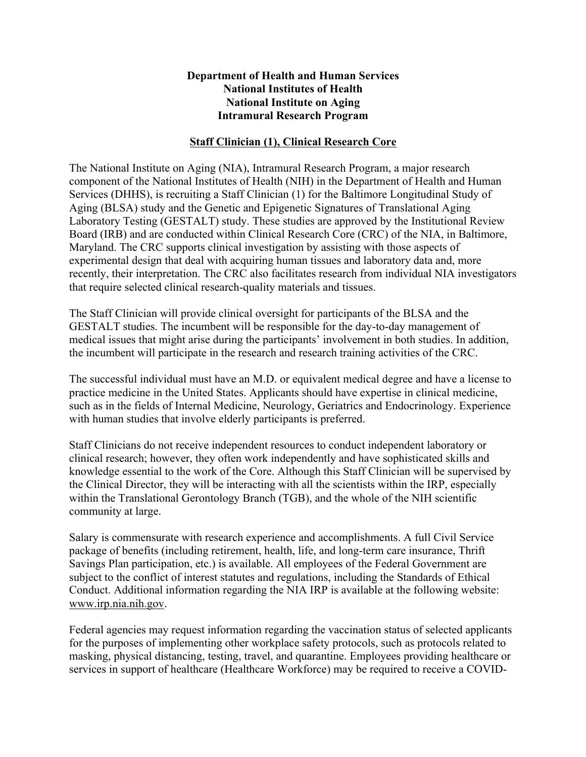## **Department of Health and Human Services National Institutes of Health National Institute on Aging Intramural Research Program**

## **Staff Clinician (1), Clinical Research Core**

The National Institute on Aging (NIA), Intramural Research Program, a major research component of the National Institutes of Health (NIH) in the Department of Health and Human Services (DHHS), is recruiting a Staff Clinician (1) for the Baltimore Longitudinal Study of Aging (BLSA) study and the Genetic and Epigenetic Signatures of Translational Aging Laboratory Testing (GESTALT) study. These studies are approved by the Institutional Review Board (IRB) and are conducted within Clinical Research Core (CRC) of the NIA, in Baltimore, Maryland. The CRC supports clinical investigation by assisting with those aspects of experimental design that deal with acquiring human tissues and laboratory data and, more recently, their interpretation. The CRC also facilitates research from individual NIA investigators that require selected clinical research-quality materials and tissues.

The Staff Clinician will provide clinical oversight for participants of the BLSA and the GESTALT studies. The incumbent will be responsible for the day-to-day management of medical issues that might arise during the participants' involvement in both studies. In addition, the incumbent will participate in the research and research training activities of the CRC.

The successful individual must have an M.D. or equivalent medical degree and have a license to practice medicine in the United States. Applicants should have expertise in clinical medicine, such as in the fields of Internal Medicine, Neurology, Geriatrics and Endocrinology. Experience with human studies that involve elderly participants is preferred.

Staff Clinicians do not receive independent resources to conduct independent laboratory or clinical research; however, they often work independently and have sophisticated skills and knowledge essential to the work of the Core. Although this Staff Clinician will be supervised by the Clinical Director, they will be interacting with all the scientists within the IRP, especially within the Translational Gerontology Branch (TGB), and the whole of the NIH scientific community at large.

Salary is commensurate with research experience and accomplishments. A full Civil Service package of benefits (including retirement, health, life, and long-term care insurance, Thrift Savings Plan participation, etc.) is available. All employees of the Federal Government are subject to the conflict of interest statutes and regulations, including the Standards of Ethical Conduct. Additional information regarding the NIA IRP is available at the following website: www.irp.nia.nih.gov.

Federal agencies may request information regarding the vaccination status of selected applicants for the purposes of implementing other workplace safety protocols, such as protocols related to masking, physical distancing, testing, travel, and quarantine. Employees providing healthcare or services in support of healthcare (Healthcare Workforce) may be required to receive a COVID-